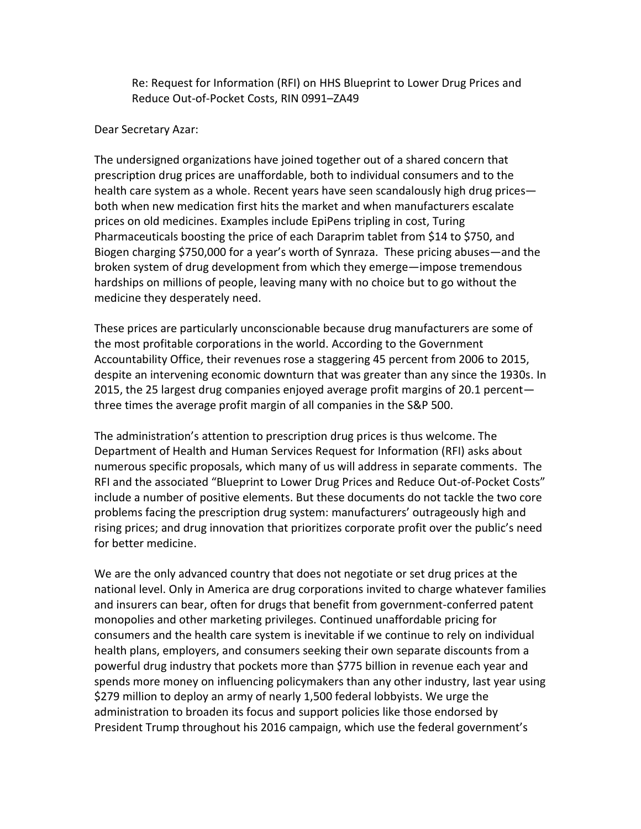Re: Request for Information (RFI) on HHS Blueprint to Lower Drug Prices and Reduce Out-of-Pocket Costs, RIN 0991–ZA49

## Dear Secretary Azar:

The undersigned organizations have joined together out of a shared concern that prescription drug prices are unaffordable, both to individual consumers and to the health care system as a whole. Recent years have seen scandalously high drug prices both when new medication first hits the market and when manufacturers escalate prices on old medicines. Examples include EpiPens tripling in cost, Turing Pharmaceuticals boosting the price of each Daraprim tablet from \$14 to \$750, and Biogen charging \$750,000 for a year's worth of Synraza. These pricing abuses—and the broken system of drug development from which they emerge—impose tremendous hardships on millions of people, leaving many with no choice but to go without the medicine they desperately need.

These prices are particularly unconscionable because drug manufacturers are some of the most profitable corporations in the world. According to the Government Accountability Office, their revenues rose a staggering 45 percent from 2006 to 2015, despite an intervening economic downturn that was greater than any since the 1930s. In 2015, the 25 largest drug companies enjoyed average profit margins of 20.1 percent three times the average profit margin of all companies in the S&P 500.

The administration's attention to prescription drug prices is thus welcome. The Department of Health and Human Services Request for Information (RFI) asks about numerous specific proposals, which many of us will address in separate comments. The RFI and the associated "Blueprint to Lower Drug Prices and Reduce Out-of-Pocket Costs" include a number of positive elements. But these documents do not tackle the two core problems facing the prescription drug system: manufacturers' outrageously high and rising prices; and drug innovation that prioritizes corporate profit over the public's need for better medicine.

We are the only advanced country that does not negotiate or set drug prices at the national level. Only in America are drug corporations invited to charge whatever families and insurers can bear, often for drugs that benefit from government-conferred patent monopolies and other marketing privileges. Continued unaffordable pricing for consumers and the health care system is inevitable if we continue to rely on individual health plans, employers, and consumers seeking their own separate discounts from a powerful drug industry that pockets more than \$775 billion in revenue each year and spends more money on influencing policymakers than any other industry, last year using \$279 million to deploy an army of nearly 1,500 federal lobbyists. We urge the administration to broaden its focus and support policies like those endorsed by President Trump throughout his 2016 campaign, which use the federal government's